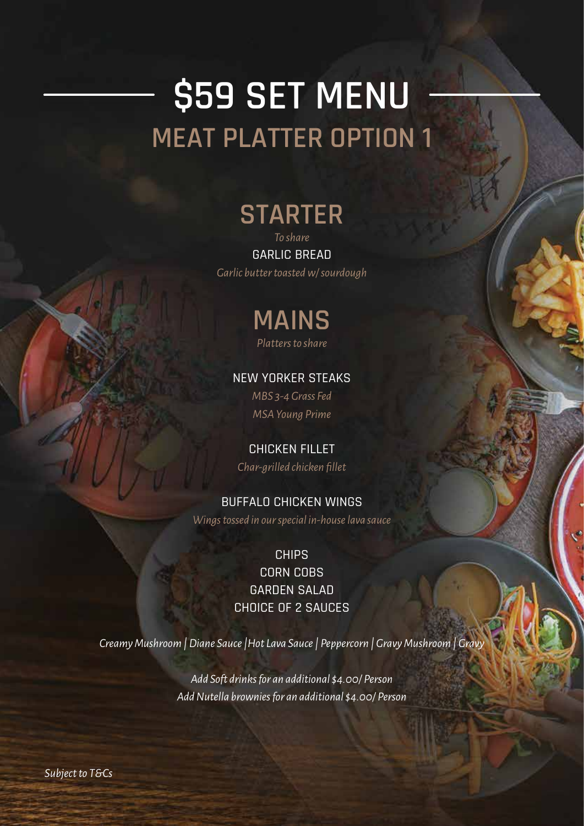# **\$59 SET MENU MEAT PLATTER OPTION 1**

### **STARTER**

*To share* GARLIC BREAD *Garlic butter toasted w/ sourdough*

> **MAINS** *Platters to share*

#### NEW YORKER STEAKS

*MBS 3-4 Grass Fed MSA Young Prime*

#### CHICKEN FILLET

*Char-grilled chicken fillet*

#### BUFFALO CHICKEN WINGS

*Wings tossed in our special in-house lava sauce* 

**CHIPS** CORN COBS GARDEN SALAD CHOICE OF 2 SAUCES

*Creamy Mushroom | Diane Sauce |Hot Lava Sauce | Peppercorn | Gravy Mushroom | Gravy*

*Add Soft drinks for an additional \$4.00/ Person Add Nutella brownies for an additional \$4.00/ Person*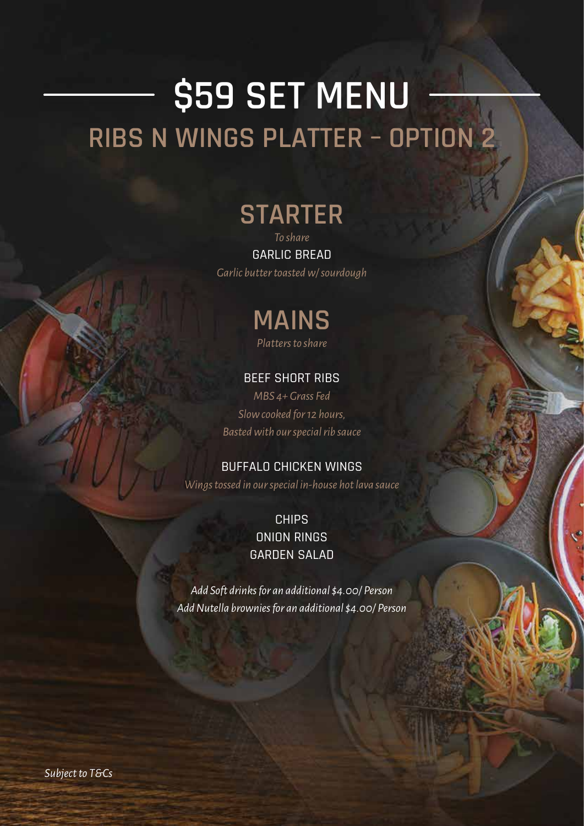# **\$59 SET MENU RIBS N WINGS PLATTER – OPTION 2**

### **STARTER**

*To share* GARLIC BREAD *Garlic butter toasted w/ sourdough*



#### BEEF SHORT RIBS

*MBS 4+ Grass Fed Slow cooked for 12 hours, Basted with our special rib sauce*

#### BUFFALO CHICKEN WINGS

*Wings tossed in our special in-house hot lava sauce* 

CHIPS ONION RINGS GARDEN SALAD

*Add Soft drinks for an additional \$4.00/ Person Add Nutella brownies for an additional \$4.00/ Person*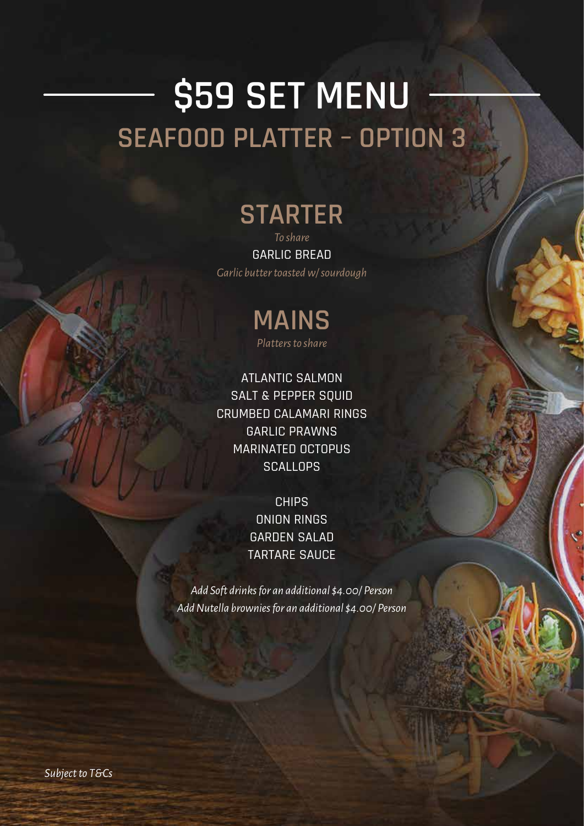# **\$59 SET MENU SEAFOOD PLATTER – OPTION 3**

## **STARTER**

*To share* GARLIC BREAD *Garlic butter toasted w/ sourdough*

### **MAINS** *Platters to share*

ATLANTIC SALMON SALT & PEPPER SQUID CRUMBED CALAMARI RINGS GARLIC PRAWNS MARINATED OCTOPUS **SCALLOPS** 

> **CHIPS** ONION RINGS GARDEN SALAD TARTARE SAUCE

*Add Soft drinks for an additional \$4.00/ Person Add Nutella brownies for an additional \$4.00/ Person*